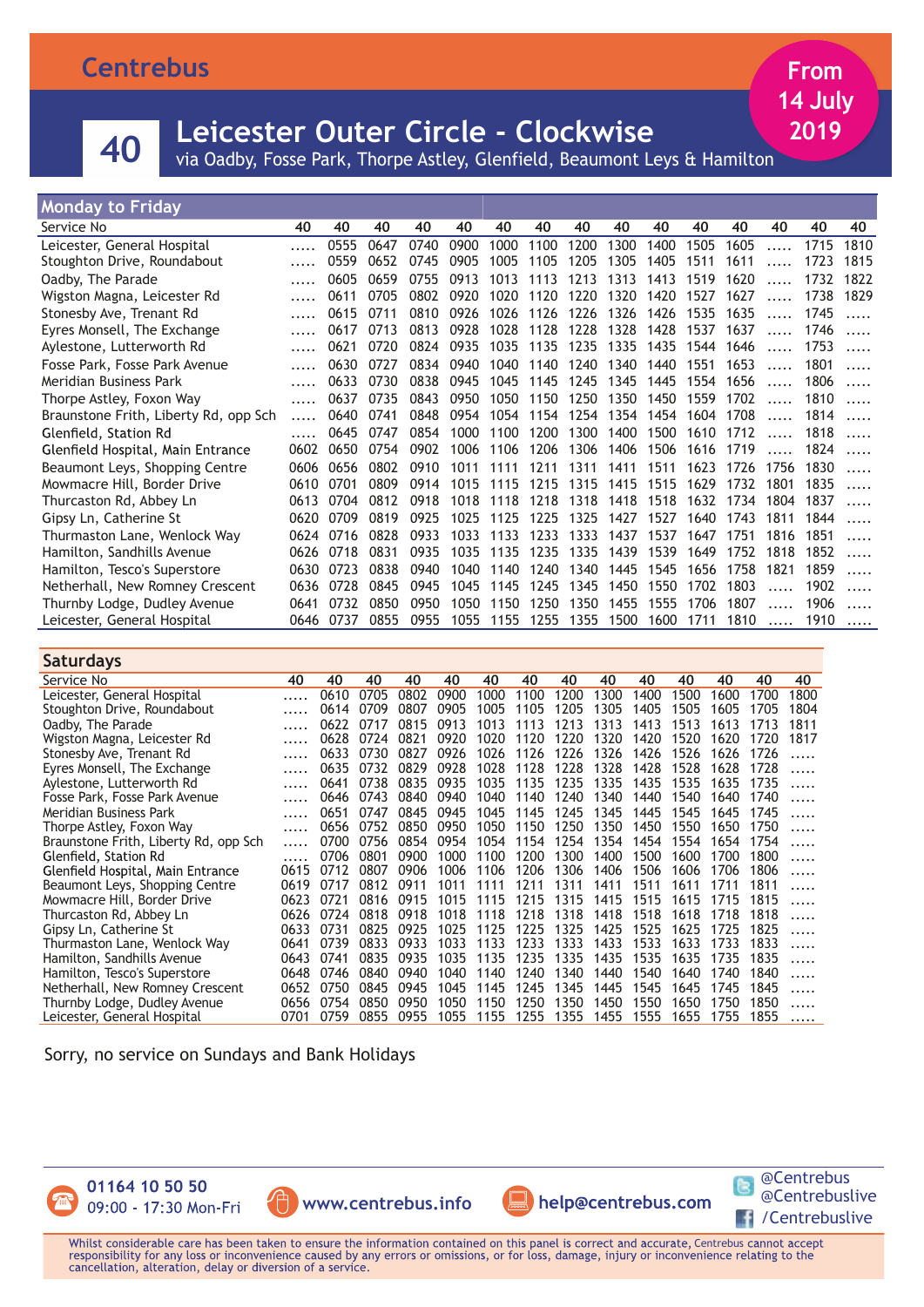## **Centrebus**

## **<sup>40</sup> Leicester Outer Circle - Clockwise**

via Oadby, Fosse Park, Thorpe Astley, Glenfield, Beaumont Leys & Hamilton

### **Monday to Friday**

| Service No                            | 40   | 40   | 40   | 40   | 40   | 40   | 40   | 40        | 40        | 40        | 40        | 40   | 40       | 40   | 40   |
|---------------------------------------|------|------|------|------|------|------|------|-----------|-----------|-----------|-----------|------|----------|------|------|
| Leicester, General Hospital           |      | 0555 | 0647 | 0740 | 0900 | 1000 | 1100 | 1200      | 1300      | 1400      | 1505      | 1605 |          | 1715 | 1810 |
| Stoughton Drive, Roundabout           |      | 0559 | 0652 | 0745 | 0905 | 1005 | 1105 | 1205      | 1305      | 1405      | 1511      | 1611 |          | 1723 | 1815 |
| Oadby, The Parade                     |      | 0605 | 0659 | 0755 | 0913 | 1013 | 1113 | 1213      | 1313      | 1413      | 1519      | 1620 |          | 1732 | 1822 |
| Wigston Magna, Leicester Rd           |      | 0611 | 0705 | 0802 | 0920 | 1020 | 1120 | 1220      | 1320      | 1420      | 1527      | 1627 |          | 1738 | 1829 |
| Stonesby Ave, Trenant Rd              |      | 0615 | 0711 | 0810 | 0926 | 1026 | 1126 | 1226      | 1326      | 1426      | 1535      | 1635 |          | 1745 |      |
| Eyres Monsell, The Exchange           |      | 0617 | 0713 | 0813 | 0928 | 1028 | 1128 | 1228      | 1328      | 1428      | 1537      | 1637 |          | 1746 |      |
| Aylestone, Lutterworth Rd             |      | 0621 | 0720 | 0824 | 0935 | 1035 | 1135 | 1235      | 1335      | 1435      | 1544 1646 |      |          | 1753 |      |
| Fosse Park, Fosse Park Avenue         |      | 0630 | 0727 | 0834 | 0940 | 1040 | 1140 | 1240      | 1340      | 1440      | 1551      | 1653 | 1.1.1.1  | 1801 |      |
| Meridian Business Park                |      | 0633 | 0730 | 0838 | 0945 | 1045 | 1145 | 1245      | 1345      | 1445      | 1554      | 1656 |          | 1806 |      |
| Thorpe Astley, Foxon Way              |      | 0637 | 0735 | 0843 | 0950 | 1050 | 1150 | 1250      | 1350      | 1450      | 1559      | 1702 |          | 1810 |      |
| Braunstone Frith, Liberty Rd, opp Sch |      | 0640 | 0741 | 0848 | 0954 | 1054 | 1154 |           | 1254 1354 | 1454 1604 |           | 1708 | $\cdots$ | 1814 |      |
| Glenfield, Station Rd                 |      | 0645 | 0747 | 0854 | 1000 | 1100 | 1200 | 1300      | 1400      | 1500      | 1610      | 1712 |          | 1818 |      |
| Glenfield Hospital, Main Entrance     | 0602 | 0650 | 0754 | 0902 | 1006 | 1106 | 1206 | 1306      | 1406      | 1506      | 1616      | 1719 |          | 1824 |      |
| Beaumont Leys, Shopping Centre        | 0606 | 0656 | 0802 | 0910 | 1011 | 1111 | 1211 | 1311      | 1411      | 1511      | 1623      | 1726 | 1756     | 1830 |      |
| Mowmacre Hill, Border Drive           | 0610 | 0701 | 0809 | 0914 | 1015 | 1115 |      | 1215 1315 | 1415      | 1515      | 1629      | 1732 | 1801     | 1835 | .    |
| Thurcaston Rd, Abbey Ln               | 0613 | 0704 | 0812 | 0918 | 1018 | 1118 | 1218 | 1318      | 1418      | 1518      | 1632      | 1734 | 1804     | 1837 |      |
| Gipsy Ln, Catherine St                | 0620 | 0709 | 0819 | 0925 | 1025 | 1125 | 1225 | 1325      | 1427      | 1527      | 1640      | 1743 | 1811     | 1844 |      |
| Thurmaston Lane, Wenlock Way          | 0624 | 0716 | 0828 | 0933 | 1033 | 1133 | 1233 | 1333      | 1437      | 1537      | 1647      | 1751 | 1816     | 1851 |      |
| Hamilton, Sandhills Avenue            | 0626 | 0718 | 0831 | 0935 | 1035 | 1135 | 1235 | 1335      | 1439      | 1539      | 1649      | 1752 | 1818     | 1852 |      |
| Hamilton, Tesco's Superstore          | 0630 | 0723 | 0838 | 0940 | 1040 | 1140 | 1240 | 1340      | 1445      | 1545      | 1656      | 1758 | 1821     | 1859 |      |
| Netherhall, New Romney Crescent       | 0636 | 0728 | 0845 | 0945 | 1045 | 1145 | 1245 | 1345      | 1450      | 1550      | 1702      | 1803 |          | 1902 |      |
| Thurnby Lodge, Dudley Avenue          | 0641 | 0732 | 0850 | 0950 | 1050 | 1150 | 1250 | 1350      | 1455      | 1555      | 1706      | 1807 |          | 1906 |      |
| Leicester, General Hospital           | 0646 | 0737 | 0855 | 0955 | 1055 | 1155 | 1255 | 1355      | 1500      | 1600      | 1711      | 1810 |          | 1910 | .    |

#### **Saturdays** Service No **40 40 40 40 40 40 40 40 40 40 40 40 40 40** Leicester, General Hospital ..... 0610 0705 0802 0900 1000 1100 1200 1300 1400 1500 1600 1700 1800 Stoughton Drive, Roundabout ..... 0614 0709 0807 0905 1005 1105 1205 1305<br>Oadby. The Parade ..... 0622 0717 0815 0913 1013 1113 1213 1313 Oadby, The Parade ..... 0622 0717 0815 0913 1013 1113 1213 1313 1413 1513 1613 1713 1811<br>Wigston Magna, Leicester Rd ..... 0628 0724 0821 0920 1020 1120 1220 1320 1420 1520 1620 1720 1817 Wigston Magna, Leicester Rd ..... 0628 0724 0821 0920 1020 1120 1220 1320 1420 1520 1620 1720<br>Stonesby Ave, Trenant Rd ..... 0633 0730 0827 0926 1026 1126 1226 1326 1426 1526 1626 1726 Stonesby Ave, Trenant Rd ..... 0633 0730 0827 0926 1026 1126 1226 1326 1426 1526 1626 1726 .....<br>Eyres Monsell, The Exchange ..... 0635 0732 0829 0928 1028 1128 1228 1328 1428 1528 1628 1728 ..... Eyres Monsell, The Exchange ..... 0635 0732 0829 0928 1028 1128 1228 1328 1428 1528 1628 1728 ..... Aylestone, Lutterworth Rd ..... 0641 0738 0835 0935 1035 1135 1235 1335 1435 1535 1635 1735 .....<br>Fosse Park, Fosse Park Avenue ..... 0646 0743 0840 0940 1040 1140 1240 1340 1440 1540 1640 1740 ..... Fosse Park, Fosse Park Avenue ..... 0646 0743 0840 0940 1040 1140 1240 1340 1440 1540 1640 1740 ..... Meridian Business Park ..... 0651 0747 0845 0945 1045 1145 1245 1345 1445 1545 1645 1745 .....<br>Thorpe Astley, Foxon Way ..... 0656 0752 0850 0950 1050 1150 1250 1350 1450 1550 1650 1750 ..... Thorpe Astley, Foxon Way ..... 0656 0752 0850 0950 1050 1150 1250 1350 1450 1550 1650 1750 ..... Braunstone Frith, Liberty Rd, opp Sch ..... 0700 0756 0854 0954 1054 1154 1254 1354 1454 1554 1654 1754 .....<br>Glenfield, Station Rd ..... 0706 0801 0900 1000 1100 1200 1300 1400 1500 1600 1700 1800 ..... Glenfield, Station Rd ..... 0706 0801 0900 1000 1100 1200 1300 1400 1500 1600 1700 1800 ..... Glenfield Hospital, Main Entrance 0615 0712 0807 0906 1006 1106 1206 1306 1406 1506 1606 1706 1806 ..... Beaumont Leys, Shopping Centre 0619 0717 0812 0911 1011 1111 1211 1311 1411 1511 1611 1711 1811 ..... Mowmacre Hill, Border Drive 0623 0721 0816 0915 1015 1115 1215 1315 1415 1515 1615 1715 1815 ..... Thurcaston Rd, Abbey Ln 0626 0724 0818 0918 1018 1118 1218 1318 1418 1518 1618 1718 1818 ..... Gipsy Ln, Catherine St 0633 0731 0825 0925 1025 1125 1225 1325 1425 1525 1625 1725 1825 ..... Thurmaston Lane, Wenlock Way 10641 0739 0833 0933 1033 1133 1233 1333 1433 1533 1633 1733 1833 .....<br>Hamilton, Sandhills Avenue 10643 0741 0835 0935 1035 1135 1235 1335 1435 1535 1635 1735 1835 ..... Hamilton, Sandhills Avenue 0643 0741 0835 0935 1035 1135 1235 1335 1435 1535 1635 1735 1835 ..... Hamilton, Tesco's Superstore 0648 0746 0840 0940 1040 1140 1240 1340 1440 1540 1640 1740 1840 ..... Netherhall, New Romney Crescent 0652 0750 0845 0945 1045 1145 1245 1445 1545 1745 1845 .....<br>Thurnby Lodge, Dudley Avenue 0656 0754 0850 0950 1050 1150 1250 1450 Thurnby Lodge, Dudley Avenue 0656 0754 0850 0950 1050 1150 1250 1350 1450 1550 1650 1750 1850 ..<br>Leicester, General Hospital 0701 0759 0855 0955 1055 1155 1255 1355 1455 1555 1655 1755 1855 Leicester, General Hospital 0701 0759 0855 0955 1055 1155 1255 1355 1455 1555 1655 1755 1855 .....

Sorry, no service on Sundays and Bank Holidays



01164 10 50 50 09:00 - 17:30 Mon-Fri

**www.centrebus.info**





**From 14 July 2019**

Whilst considerable care has been taken to ensure the information contained on this panel is correct and accurate, Centrebus cannot accept<br>responsibility for any loss or inconvenience caused by any errors or omissions, or cancellation, alteration, delay or diversion of a service.